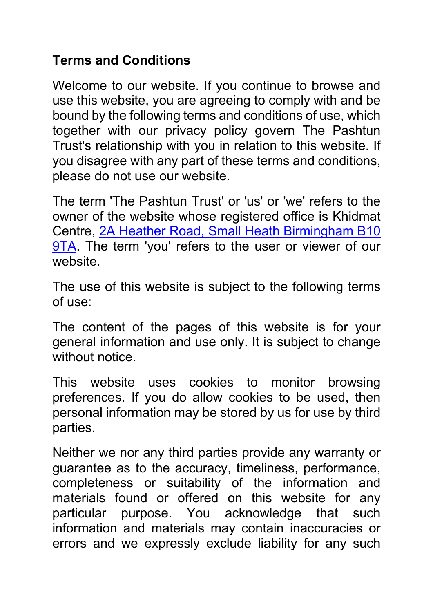## **Terms and Conditions**

Welcome to our website. If you continue to browse and use this website, you are agreeing to comply with and be bound by the following terms and conditions of use, which together with our privacy policy govern The Pashtun Trust's relationship with you in relation to this website. If you disagree with any part of these terms and conditions, please do not use our website.

The term 'The Pashtun Trust' or 'us' or 'we' refers to the owner of the website whose registered office is Khidmat Centre, 2A Heather Road, Small Heath Birmingham B10 9TA. The term 'you' refers to the user or viewer of our website.

The use of this website is subject to the following terms of use:

The content of the pages of this website is for your general information and use only. It is subject to change without notice

This website uses cookies to monitor browsing preferences. If you do allow cookies to be used, then personal information may be stored by us for use by third parties.

Neither we nor any third parties provide any warranty or guarantee as to the accuracy, timeliness, performance, completeness or suitability of the information and materials found or offered on this website for any particular purpose. You acknowledge that such information and materials may contain inaccuracies or errors and we expressly exclude liability for any such